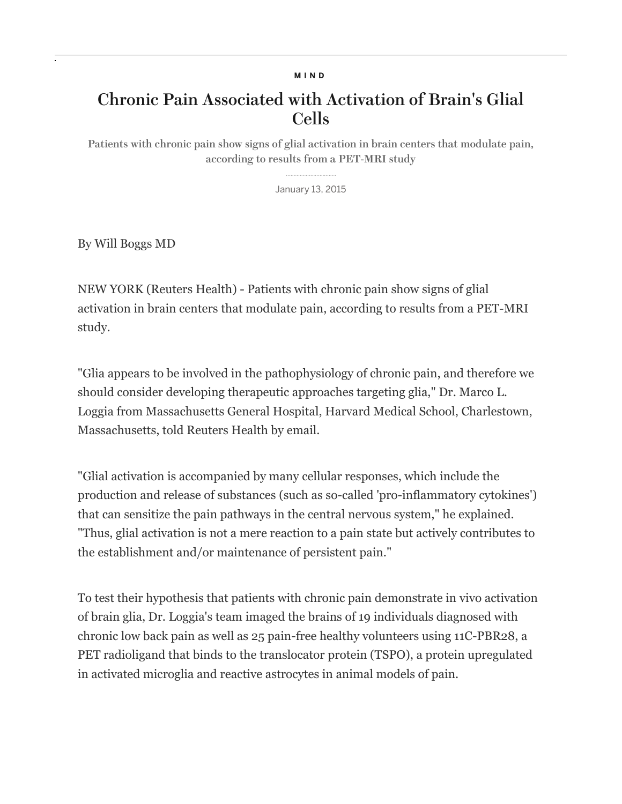## MIND

## Chronic Pain Associated with Activation of Brain's Glial Cells

Patients with chronic pain show signs of glial activation in brain centers that modulate pain, according to results from a PET-MRI study

January 13, 2015

By Will Boggs MD

NEW YORK (Reuters Health) - Patients with chronic pain show signs of glial activation in brain centers that modulate pain, according to results from a PET-MRI study.

"Glia appears to be involved in the pathophysiology of chronic pain, and therefore we should consider developing therapeutic approaches targeting glia," Dr. Marco L. Loggia from Massachusetts General Hospital, Harvard Medical School, Charlestown, Massachusetts, told Reuters Health by email.

"Glial activation is accompanied by many cellular responses, which include the production and release of substances (such as so-called 'pro-inflammatory cytokines') that can sensitize the pain pathways in the central nervous system," he explained. "Thus, glial activation is not a mere reaction to a pain state but actively contributes to the establishment and/or maintenance of persistent pain."

To test their hypothesis that patients with chronic pain demonstrate in vivo activation of brain glia, Dr. Loggia's team imaged the brains of 19 individuals diagnosed with chronic low back pain as well as 25 pain-free healthy volunteers using 11C-PBR28, a PET radioligand that binds to the translocator protein (TSPO), a protein upregulated in activated microglia and reactive astrocytes in animal models of pain.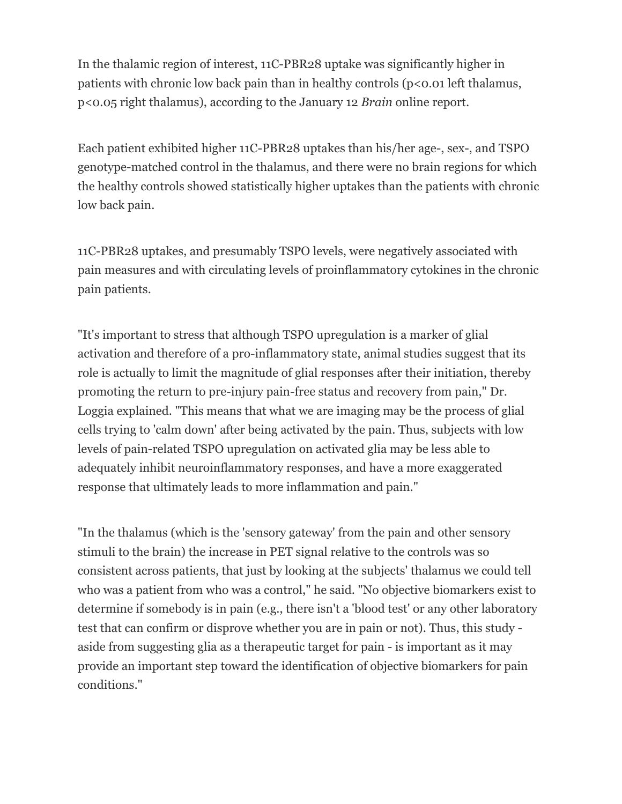In the thalamic region of interest, 11C-PBR28 uptake was significantly higher in patients with chronic low back pain than in healthy controls ( $p < 0.01$  left thalamus, p<0.05 right thalamus), according to the January 12 *Brain* online report.

Each patient exhibited higher 11C-PBR28 uptakes than his/her age-, sex-, and TSPO genotype-matched control in the thalamus, and there were no brain regions for which the healthy controls showed statistically higher uptakes than the patients with chronic low back pain.

11C-PBR28 uptakes, and presumably TSPO levels, were negatively associated with pain measures and with circulating levels of proinflammatory cytokines in the chronic pain patients.

"It's important to stress that although TSPO upregulation is a marker of glial activation and therefore of a pro-inflammatory state, animal studies suggest that its role is actually to limit the magnitude of glial responses after their initiation, thereby promoting the return to pre-injury pain-free status and recovery from pain," Dr. Loggia explained. "This means that what we are imaging may be the process of glial cells trying to 'calm down' after being activated by the pain. Thus, subjects with low levels of pain-related TSPO upregulation on activated glia may be less able to adequately inhibit neuroinflammatory responses, and have a more exaggerated response that ultimately leads to more inflammation and pain."

"In the thalamus (which is the 'sensory gateway' from the pain and other sensory stimuli to the brain) the increase in PET signal relative to the controls was so consistent across patients, that just by looking at the subjects' thalamus we could tell who was a patient from who was a control," he said. "No objective biomarkers exist to determine if somebody is in pain (e.g., there isn't a 'blood test' or any other laboratory test that can confirm or disprove whether you are in pain or not). Thus, this study aside from suggesting glia as a therapeutic target for pain - is important as it may provide an important step toward the identification of objective biomarkers for pain conditions."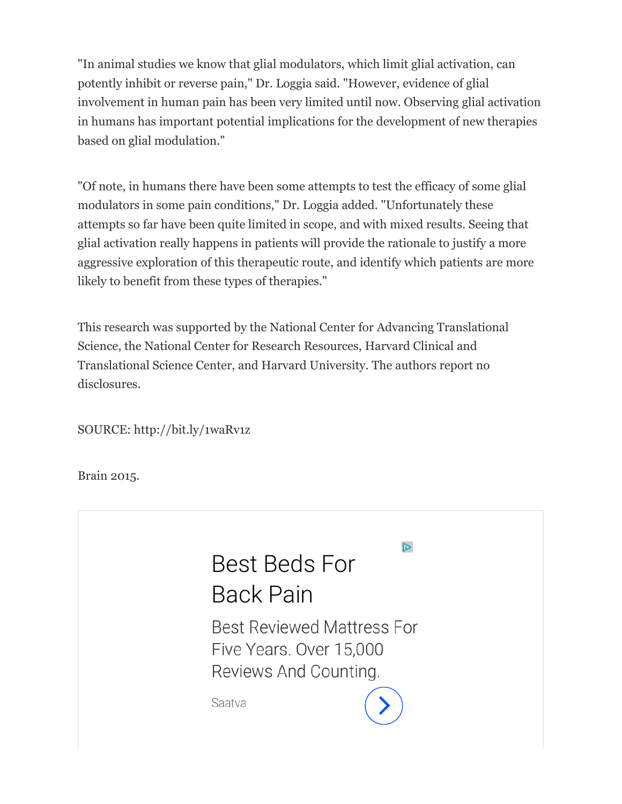"In animal studies we know that glial modulators, which limit glial activation, can potently inhibit or reverse pain," Dr. Loggia said. "However, evidence of glial involvement in human pain has been very limited until now. Observing glial activation in humans has important potential implications for the development of new therapies based on glial modulation."

"Of note, in humans there have been some attempts to test the efficacy of some glial modulators in some pain conditions," Dr. Loggia added. "Unfortunately these attempts so far have been quite limited in scope, and with mixed results. Seeing that glial activation really happens in patients will provide the rationale to justify a more aggressive exploration of this therapeutic route, and identify which patients are more likely to benefit from these types of therapies."

This research was supported by the National Center for Advancing Translational Science, the National Center for Research Resources, Harvard Clinical and Translational Science Center, and Harvard University. The authors report no disclosures.

SOURCE: http://bit.ly/1waRv1z

Brain 2015.